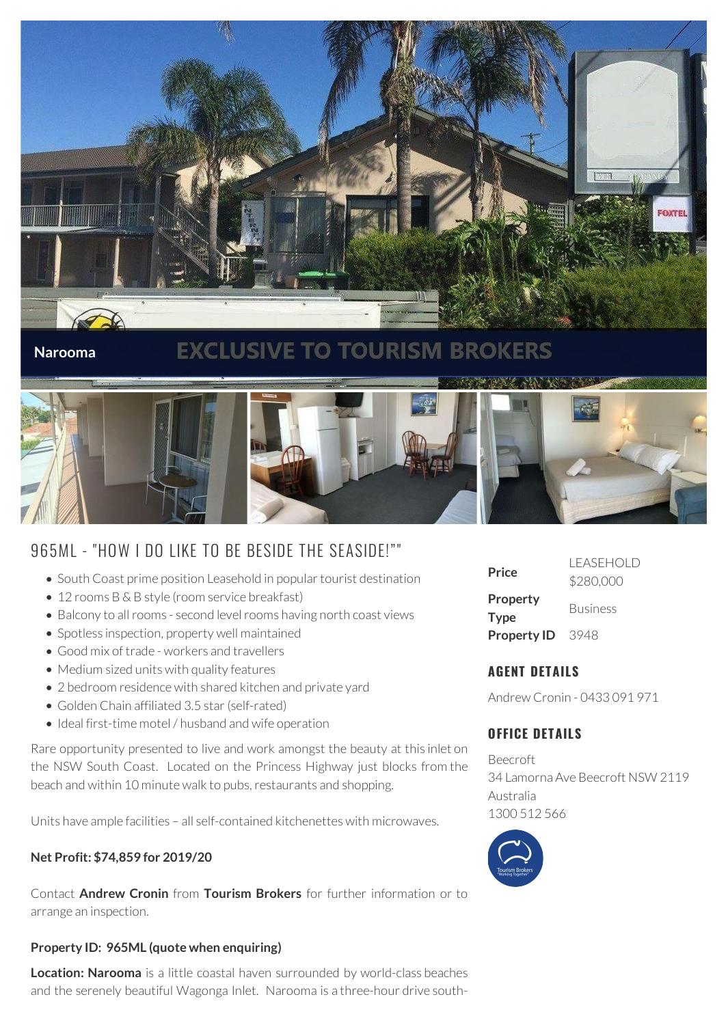

#### **Narooma**

# **EXCLUSIVE TO TOURISM BROKERS**



# 965ML - "HOW I DO LIKE TO BE BESIDE THE SEASIDE!""

- South Coast prime position Leasehold in popular tourist destination
- 12 rooms B & B style (room service breakfast)
- Balcony to all rooms second level rooms having north coast views
- Spotless inspection, property well maintained
- Good mix of trade workers and travellers
- Medium sized units with quality features
- 2 bedroom residence with shared kitchen and private yard
- Golden Chain affiliated 3.5 star (self-rated)
- Ideal first-time motel / husband and wife operation

Rare opportunity presented to live and work amongst the beauty at this inlet on the NSW South Coast. Located on the Princess Highway just blocks from the beach and within 10 minute walk to pubs, restaurants and shopping.

Units have ample facilities – all self-contained kitchenettes with microwaves.

#### **Net Profit: \$74,859 for 2019/20**

Contact **Andrew Cronin** from **Tourism Brokers** for further information or to arrange an inspection.

#### **Property ID: 965ML (quote when enquiring)**

**Location: Narooma** is a little coastal haven surrounded by world-class beaches and the serenely beautiful Wagonga Inlet. Narooma is a three-hour drive south-

| Price                          | i fasfhoi d<br>\$280,000 |
|--------------------------------|--------------------------|
| <b>Property</b><br><b>Type</b> | <b>Business</b>          |
| <b>Property ID</b>             | 3948                     |

### **AGENT DETAILS**

Andrew Cronin - 0433 091 971

## **OFFICE DETAILS**

Beecroft 34 Lamorna Ave Beecroft NSW 2119 Australia 1300 512 566